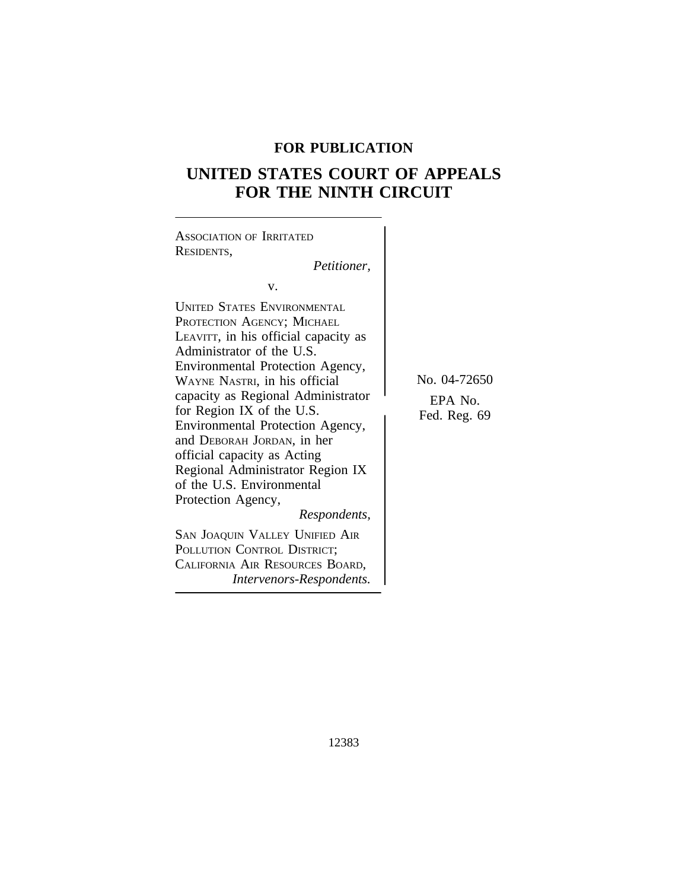## **FOR PUBLICATION**

# **UNITED STATES COURT OF APPEALS FOR THE NINTH CIRCUIT**

| <b>ASSOCIATION OF IRRITATED</b><br>RESIDENTS,<br>Petitioner,                                                                                                                                                                                                                                                                                                                                                                                                                                                                                                                                                          |                                         |
|-----------------------------------------------------------------------------------------------------------------------------------------------------------------------------------------------------------------------------------------------------------------------------------------------------------------------------------------------------------------------------------------------------------------------------------------------------------------------------------------------------------------------------------------------------------------------------------------------------------------------|-----------------------------------------|
| V.                                                                                                                                                                                                                                                                                                                                                                                                                                                                                                                                                                                                                    |                                         |
| <b>UNITED STATES ENVIRONMENTAL</b><br>PROTECTION AGENCY; MICHAEL<br>LEAVITT, in his official capacity as<br>Administrator of the U.S.<br>Environmental Protection Agency,<br>WAYNE NASTRI, in his official<br>capacity as Regional Administrator<br>for Region IX of the U.S.<br>Environmental Protection Agency,<br>and DEBORAH JORDAN, in her<br>official capacity as Acting<br>Regional Administrator Region IX<br>of the U.S. Environmental<br>Protection Agency,<br>Respondents,<br>SAN JOAQUIN VALLEY UNIFIED AIR<br>POLLUTION CONTROL DISTRICT;<br>CALIFORNIA AIR RESOURCES BOARD,<br>Intervenors-Respondents. | No. 04-72650<br>EPA No.<br>Fed. Reg. 69 |
|                                                                                                                                                                                                                                                                                                                                                                                                                                                                                                                                                                                                                       |                                         |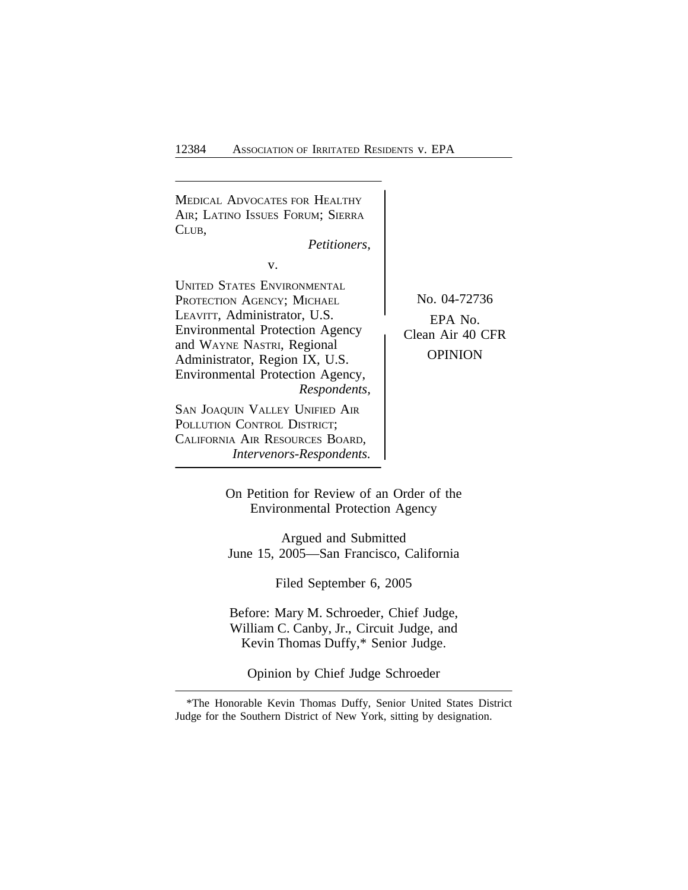<sup>M</sup>EDICAL ADVOCATES FOR HEALTHY AIR; LATINO ISSUES FORUM; SIERRA CLUB, *Petitioners,* v. UNITED STATES ENVIRONMENTAL PROTECTION AGENCY: MICHAEL No. 04-72736 LEAVITT, Administrator, U.S.<br>Environmental Protection Agency Clean Air 40 CFR Environmental Protection Agency and WAYNE NASTRI, Regional Administrator, Region IX, U.S. OPINION Environmental Protection Agency, *Respondents,* SAN JOAQUIN VALLEY UNIFIED AIR POLLUTION CONTROL DISTRICT; CALIFORNIA AIR RESOURCES BOARD, *Intervenors-Respondents.*

> On Petition for Review of an Order of the Environmental Protection Agency

Argued and Submitted June 15, 2005—San Francisco, California

Filed September 6, 2005

Before: Mary M. Schroeder, Chief Judge, William C. Canby, Jr., Circuit Judge, and Kevin Thomas Duffy,\* Senior Judge.

Opinion by Chief Judge Schroeder

<sup>\*</sup>The Honorable Kevin Thomas Duffy, Senior United States District Judge for the Southern District of New York, sitting by designation.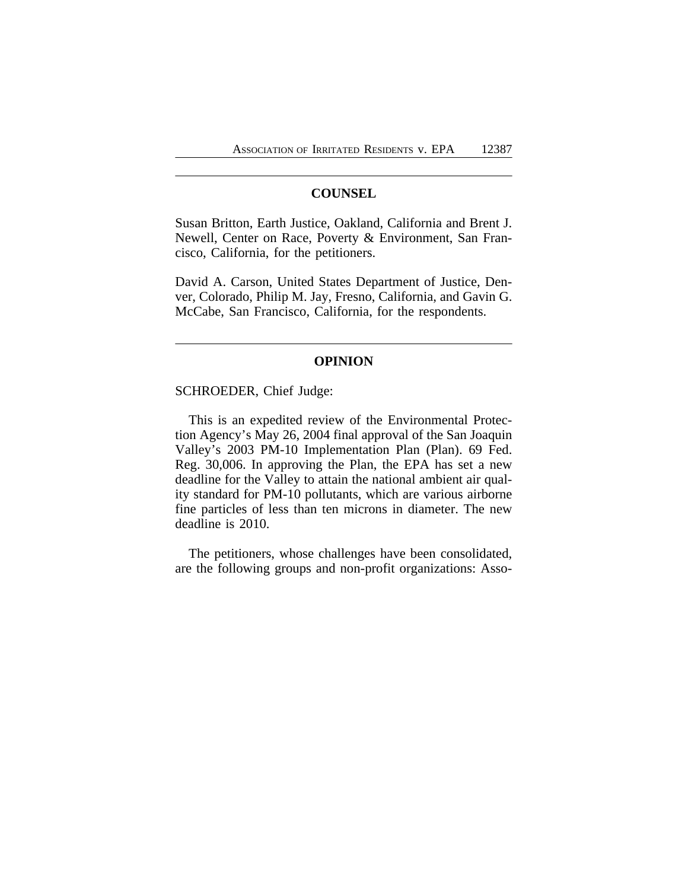## **COUNSEL**

Susan Britton, Earth Justice, Oakland, California and Brent J. Newell, Center on Race, Poverty & Environment, San Francisco, California, for the petitioners.

David A. Carson, United States Department of Justice, Denver, Colorado, Philip M. Jay, Fresno, California, and Gavin G. McCabe, San Francisco, California, for the respondents.

#### **OPINION**

## SCHROEDER, Chief Judge:

This is an expedited review of the Environmental Protection Agency's May 26, 2004 final approval of the San Joaquin Valley's 2003 PM-10 Implementation Plan (Plan). 69 Fed. Reg. 30,006. In approving the Plan, the EPA has set a new deadline for the Valley to attain the national ambient air quality standard for PM-10 pollutants, which are various airborne fine particles of less than ten microns in diameter. The new deadline is 2010.

The petitioners, whose challenges have been consolidated, are the following groups and non-profit organizations: Asso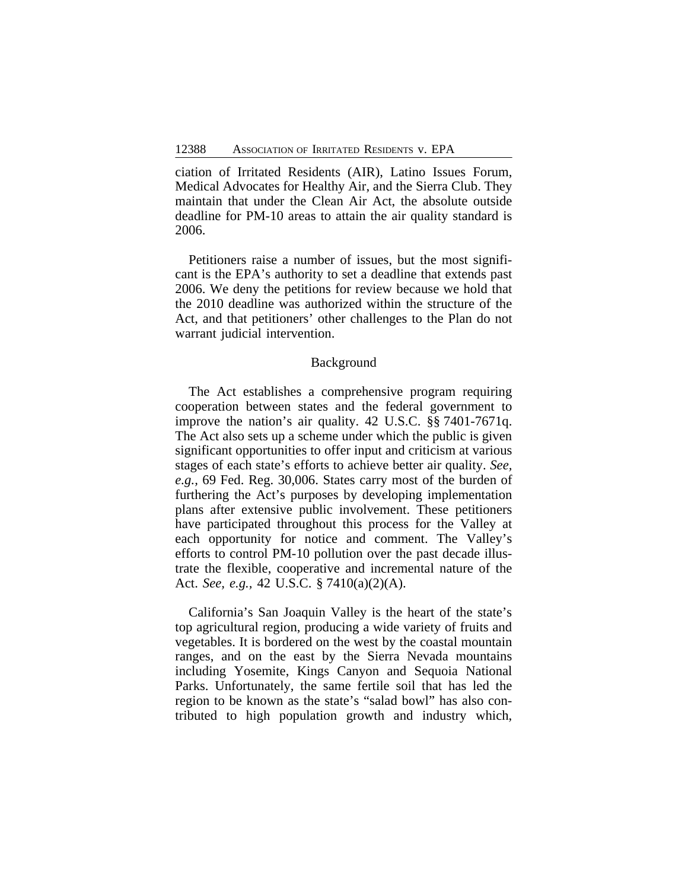ciation of Irritated Residents (AIR), Latino Issues Forum, Medical Advocates for Healthy Air, and the Sierra Club. They maintain that under the Clean Air Act, the absolute outside deadline for PM-10 areas to attain the air quality standard is 2006.

Petitioners raise a number of issues, but the most significant is the EPA's authority to set a deadline that extends past 2006. We deny the petitions for review because we hold that the 2010 deadline was authorized within the structure of the Act, and that petitioners' other challenges to the Plan do not warrant judicial intervention.

#### Background

The Act establishes a comprehensive program requiring cooperation between states and the federal government to improve the nation's air quality. 42 U.S.C. §§ 7401-7671q. The Act also sets up a scheme under which the public is given significant opportunities to offer input and criticism at various stages of each state's efforts to achieve better air quality. *See, e.g.,* 69 Fed. Reg. 30,006. States carry most of the burden of furthering the Act's purposes by developing implementation plans after extensive public involvement. These petitioners have participated throughout this process for the Valley at each opportunity for notice and comment. The Valley's efforts to control PM-10 pollution over the past decade illustrate the flexible, cooperative and incremental nature of the Act. *See, e.g.,* 42 U.S.C. § 7410(a)(2)(A).

California's San Joaquin Valley is the heart of the state's top agricultural region, producing a wide variety of fruits and vegetables. It is bordered on the west by the coastal mountain ranges, and on the east by the Sierra Nevada mountains including Yosemite, Kings Canyon and Sequoia National Parks. Unfortunately, the same fertile soil that has led the region to be known as the state's "salad bowl" has also contributed to high population growth and industry which,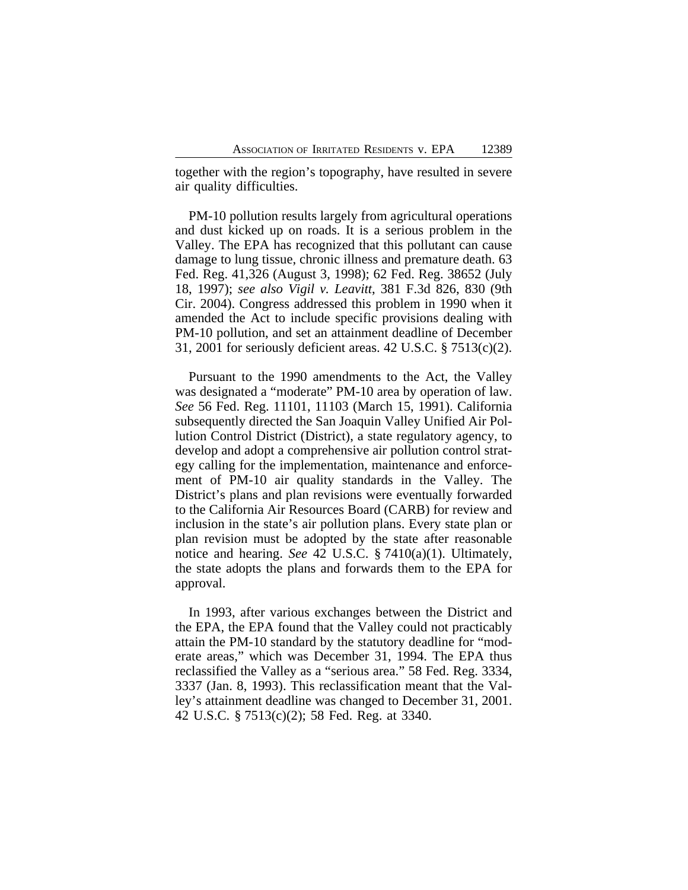together with the region's topography, have resulted in severe air quality difficulties.

PM-10 pollution results largely from agricultural operations and dust kicked up on roads. It is a serious problem in the Valley. The EPA has recognized that this pollutant can cause damage to lung tissue, chronic illness and premature death. 63 Fed. Reg. 41,326 (August 3, 1998); 62 Fed. Reg. 38652 (July 18, 1997); *see also Vigil v. Leavitt*, 381 F.3d 826, 830 (9th Cir. 2004). Congress addressed this problem in 1990 when it amended the Act to include specific provisions dealing with PM-10 pollution, and set an attainment deadline of December 31, 2001 for seriously deficient areas. 42 U.S.C. § 7513(c)(2).

Pursuant to the 1990 amendments to the Act, the Valley was designated a "moderate" PM-10 area by operation of law. *See* 56 Fed. Reg. 11101, 11103 (March 15, 1991). California subsequently directed the San Joaquin Valley Unified Air Pollution Control District (District), a state regulatory agency, to develop and adopt a comprehensive air pollution control strategy calling for the implementation, maintenance and enforcement of PM-10 air quality standards in the Valley. The District's plans and plan revisions were eventually forwarded to the California Air Resources Board (CARB) for review and inclusion in the state's air pollution plans. Every state plan or plan revision must be adopted by the state after reasonable notice and hearing. *See* 42 U.S.C. § 7410(a)(1). Ultimately, the state adopts the plans and forwards them to the EPA for approval.

In 1993, after various exchanges between the District and the EPA, the EPA found that the Valley could not practicably attain the PM-10 standard by the statutory deadline for "moderate areas," which was December 31, 1994. The EPA thus reclassified the Valley as a "serious area." 58 Fed. Reg. 3334, 3337 (Jan. 8, 1993). This reclassification meant that the Valley's attainment deadline was changed to December 31, 2001. 42 U.S.C. § 7513(c)(2); 58 Fed. Reg. at 3340.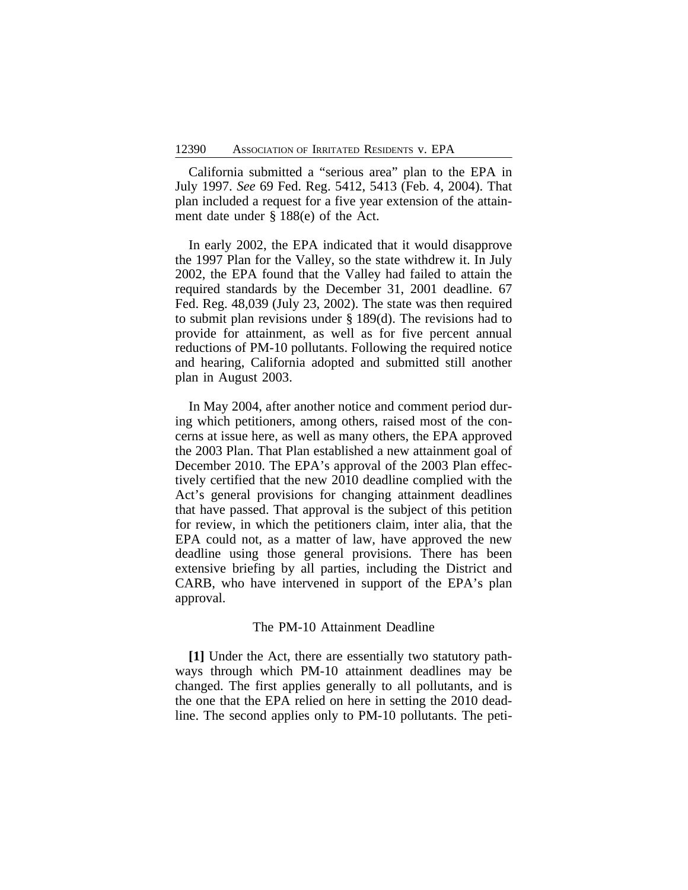California submitted a "serious area" plan to the EPA in July 1997. *See* 69 Fed. Reg. 5412, 5413 (Feb. 4, 2004). That plan included a request for a five year extension of the attainment date under § 188(e) of the Act.

In early 2002, the EPA indicated that it would disapprove the 1997 Plan for the Valley, so the state withdrew it. In July 2002, the EPA found that the Valley had failed to attain the required standards by the December 31, 2001 deadline. 67 Fed. Reg. 48,039 (July 23, 2002). The state was then required to submit plan revisions under § 189(d). The revisions had to provide for attainment, as well as for five percent annual reductions of PM-10 pollutants. Following the required notice and hearing, California adopted and submitted still another plan in August 2003.

In May 2004, after another notice and comment period during which petitioners, among others, raised most of the concerns at issue here, as well as many others, the EPA approved the 2003 Plan. That Plan established a new attainment goal of December 2010. The EPA's approval of the 2003 Plan effectively certified that the new 2010 deadline complied with the Act's general provisions for changing attainment deadlines that have passed. That approval is the subject of this petition for review, in which the petitioners claim, inter alia, that the EPA could not, as a matter of law, have approved the new deadline using those general provisions. There has been extensive briefing by all parties, including the District and CARB, who have intervened in support of the EPA's plan approval.

#### The PM-10 Attainment Deadline

**[1]** Under the Act, there are essentially two statutory pathways through which PM-10 attainment deadlines may be changed. The first applies generally to all pollutants, and is the one that the EPA relied on here in setting the 2010 deadline. The second applies only to PM-10 pollutants. The peti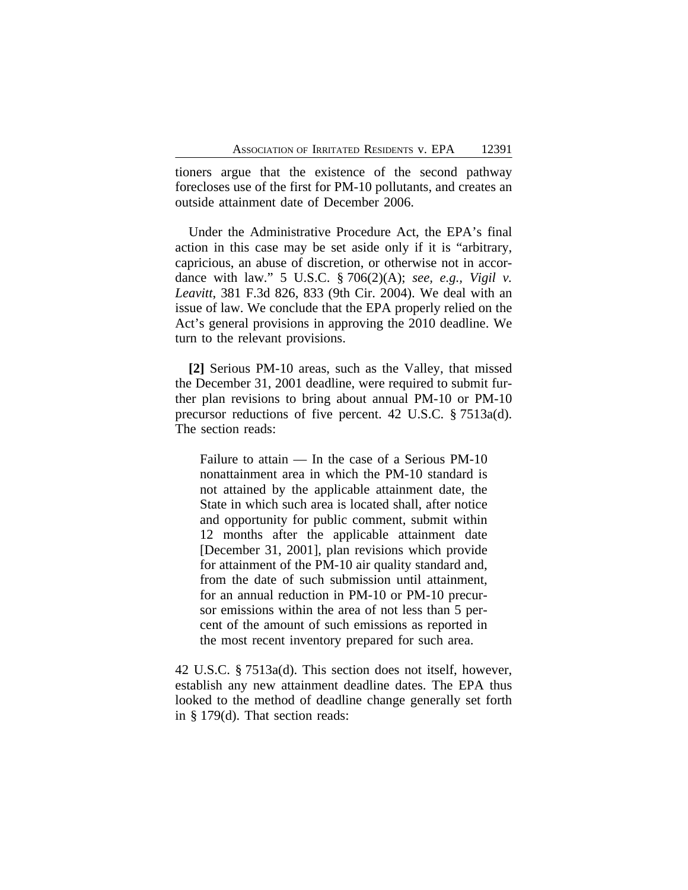tioners argue that the existence of the second pathway forecloses use of the first for PM-10 pollutants, and creates an outside attainment date of December 2006.

Under the Administrative Procedure Act, the EPA's final action in this case may be set aside only if it is "arbitrary, capricious, an abuse of discretion, or otherwise not in accordance with law." 5 U.S.C. § 706(2)(A); *see, e.g., Vigil v. Leavitt*, 381 F.3d 826, 833 (9th Cir. 2004). We deal with an issue of law. We conclude that the EPA properly relied on the Act's general provisions in approving the 2010 deadline. We turn to the relevant provisions.

**[2]** Serious PM-10 areas, such as the Valley, that missed the December 31, 2001 deadline, were required to submit further plan revisions to bring about annual PM-10 or PM-10 precursor reductions of five percent. 42 U.S.C. § 7513a(d). The section reads:

Failure to attain — In the case of a Serious PM-10 nonattainment area in which the PM-10 standard is not attained by the applicable attainment date, the State in which such area is located shall, after notice and opportunity for public comment, submit within 12 months after the applicable attainment date [December 31, 2001], plan revisions which provide for attainment of the PM-10 air quality standard and, from the date of such submission until attainment, for an annual reduction in PM-10 or PM-10 precursor emissions within the area of not less than 5 percent of the amount of such emissions as reported in the most recent inventory prepared for such area.

42 U.S.C. § 7513a(d). This section does not itself, however, establish any new attainment deadline dates. The EPA thus looked to the method of deadline change generally set forth in § 179(d). That section reads: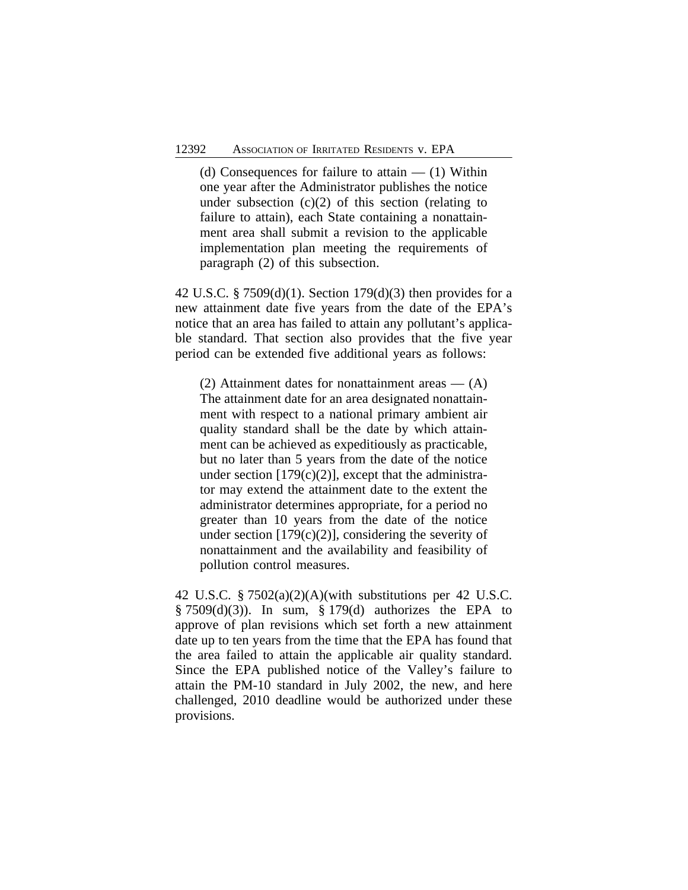(d) Consequences for failure to attain  $-$  (1) Within one year after the Administrator publishes the notice under subsection  $(c)(2)$  of this section (relating to failure to attain), each State containing a nonattainment area shall submit a revision to the applicable implementation plan meeting the requirements of paragraph (2) of this subsection.

42 U.S.C. § 7509(d)(1). Section 179(d)(3) then provides for a new attainment date five years from the date of the EPA's notice that an area has failed to attain any pollutant's applicable standard. That section also provides that the five year period can be extended five additional years as follows:

(2) Attainment dates for nonattainment areas  $-$  (A) The attainment date for an area designated nonattainment with respect to a national primary ambient air quality standard shall be the date by which attainment can be achieved as expeditiously as practicable, but no later than 5 years from the date of the notice under section  $[179(c)(2)]$ , except that the administrator may extend the attainment date to the extent the administrator determines appropriate, for a period no greater than 10 years from the date of the notice under section  $[179(c)(2)]$ , considering the severity of nonattainment and the availability and feasibility of pollution control measures.

42 U.S.C. § 7502(a)(2)(A)(with substitutions per 42 U.S.C.  $§ 7509(d)(3)$ . In sum, § 179(d) authorizes the EPA to approve of plan revisions which set forth a new attainment date up to ten years from the time that the EPA has found that the area failed to attain the applicable air quality standard. Since the EPA published notice of the Valley's failure to attain the PM-10 standard in July 2002, the new, and here challenged, 2010 deadline would be authorized under these provisions.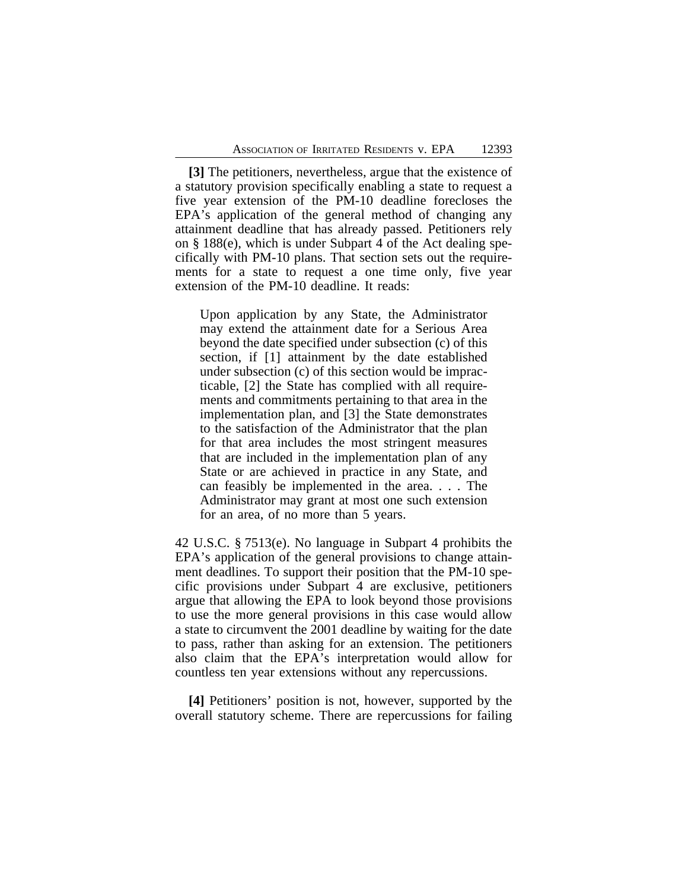**[3]** The petitioners, nevertheless, argue that the existence of a statutory provision specifically enabling a state to request a five year extension of the PM-10 deadline forecloses the EPA's application of the general method of changing any attainment deadline that has already passed. Petitioners rely on § 188(e), which is under Subpart 4 of the Act dealing specifically with PM-10 plans. That section sets out the requirements for a state to request a one time only, five year extension of the PM-10 deadline. It reads:

Upon application by any State, the Administrator may extend the attainment date for a Serious Area beyond the date specified under subsection (c) of this section, if [1] attainment by the date established under subsection (c) of this section would be impracticable, [2] the State has complied with all requirements and commitments pertaining to that area in the implementation plan, and [3] the State demonstrates to the satisfaction of the Administrator that the plan for that area includes the most stringent measures that are included in the implementation plan of any State or are achieved in practice in any State, and can feasibly be implemented in the area. . . . The Administrator may grant at most one such extension for an area, of no more than 5 years.

42 U.S.C. § 7513(e). No language in Subpart 4 prohibits the EPA's application of the general provisions to change attainment deadlines. To support their position that the PM-10 specific provisions under Subpart 4 are exclusive, petitioners argue that allowing the EPA to look beyond those provisions to use the more general provisions in this case would allow a state to circumvent the 2001 deadline by waiting for the date to pass, rather than asking for an extension. The petitioners also claim that the EPA's interpretation would allow for countless ten year extensions without any repercussions.

**[4]** Petitioners' position is not, however, supported by the overall statutory scheme. There are repercussions for failing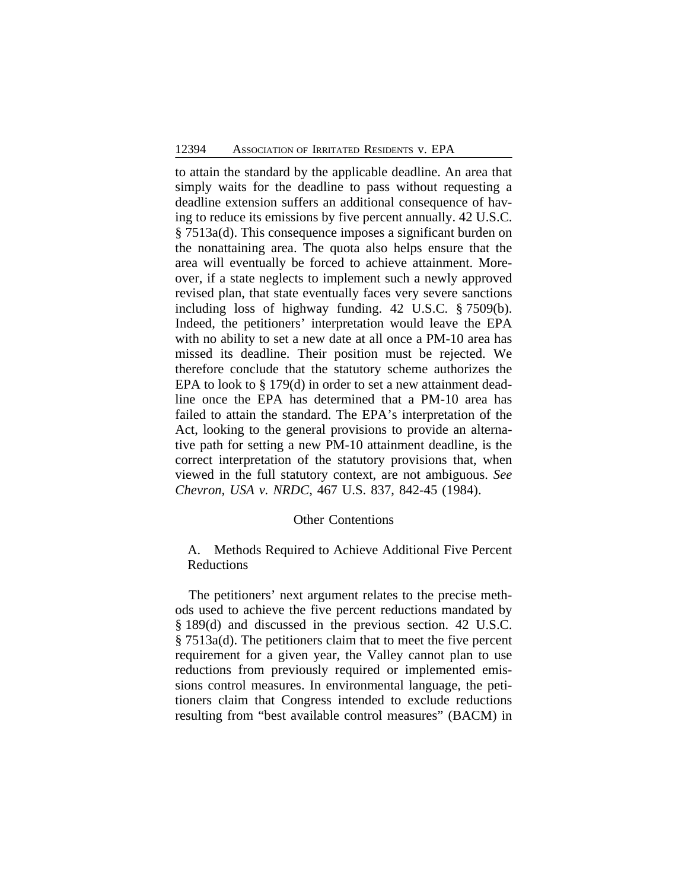to attain the standard by the applicable deadline. An area that simply waits for the deadline to pass without requesting a deadline extension suffers an additional consequence of having to reduce its emissions by five percent annually. 42 U.S.C. § 7513a(d). This consequence imposes a significant burden on the nonattaining area. The quota also helps ensure that the area will eventually be forced to achieve attainment. Moreover, if a state neglects to implement such a newly approved revised plan, that state eventually faces very severe sanctions including loss of highway funding. 42 U.S.C. § 7509(b). Indeed, the petitioners' interpretation would leave the EPA with no ability to set a new date at all once a PM-10 area has missed its deadline. Their position must be rejected. We therefore conclude that the statutory scheme authorizes the EPA to look to § 179(d) in order to set a new attainment deadline once the EPA has determined that a PM-10 area has failed to attain the standard. The EPA's interpretation of the Act, looking to the general provisions to provide an alternative path for setting a new PM-10 attainment deadline, is the correct interpretation of the statutory provisions that, when viewed in the full statutory context, are not ambiguous. *See Chevron, USA v. NRDC*, 467 U.S. 837, 842-45 (1984).

## Other Contentions

## A. Methods Required to Achieve Additional Five Percent Reductions

The petitioners' next argument relates to the precise methods used to achieve the five percent reductions mandated by § 189(d) and discussed in the previous section. 42 U.S.C. § 7513a(d). The petitioners claim that to meet the five percent requirement for a given year, the Valley cannot plan to use reductions from previously required or implemented emissions control measures. In environmental language, the petitioners claim that Congress intended to exclude reductions resulting from "best available control measures" (BACM) in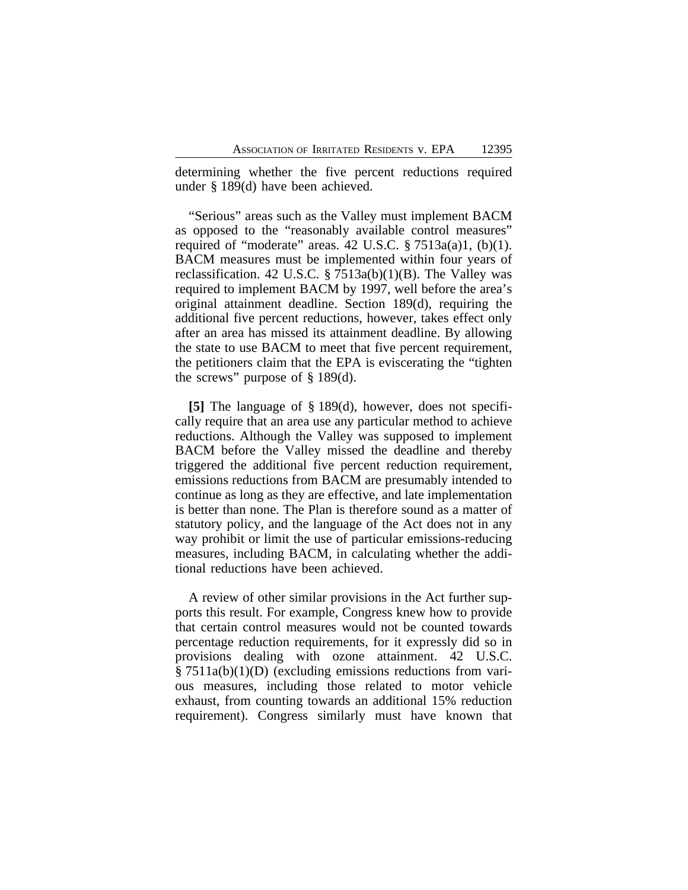determining whether the five percent reductions required under § 189(d) have been achieved.

"Serious" areas such as the Valley must implement BACM as opposed to the "reasonably available control measures" required of "moderate" areas. 42 U.S.C.  $\S 7513a(a)1$ , (b)(1). BACM measures must be implemented within four years of reclassification. 42 U.S.C.  $\S 7513a(b)(1)(B)$ . The Valley was required to implement BACM by 1997, well before the area's original attainment deadline. Section 189(d), requiring the additional five percent reductions, however, takes effect only after an area has missed its attainment deadline. By allowing the state to use BACM to meet that five percent requirement, the petitioners claim that the EPA is eviscerating the "tighten the screws" purpose of § 189(d).

**[5]** The language of § 189(d), however, does not specifically require that an area use any particular method to achieve reductions. Although the Valley was supposed to implement BACM before the Valley missed the deadline and thereby triggered the additional five percent reduction requirement, emissions reductions from BACM are presumably intended to continue as long as they are effective, and late implementation is better than none. The Plan is therefore sound as a matter of statutory policy, and the language of the Act does not in any way prohibit or limit the use of particular emissions-reducing measures, including BACM, in calculating whether the additional reductions have been achieved.

A review of other similar provisions in the Act further supports this result. For example, Congress knew how to provide that certain control measures would not be counted towards percentage reduction requirements, for it expressly did so in provisions dealing with ozone attainment. 42 U.S.C. § 7511a(b)(1)(D) (excluding emissions reductions from various measures, including those related to motor vehicle exhaust, from counting towards an additional 15% reduction requirement). Congress similarly must have known that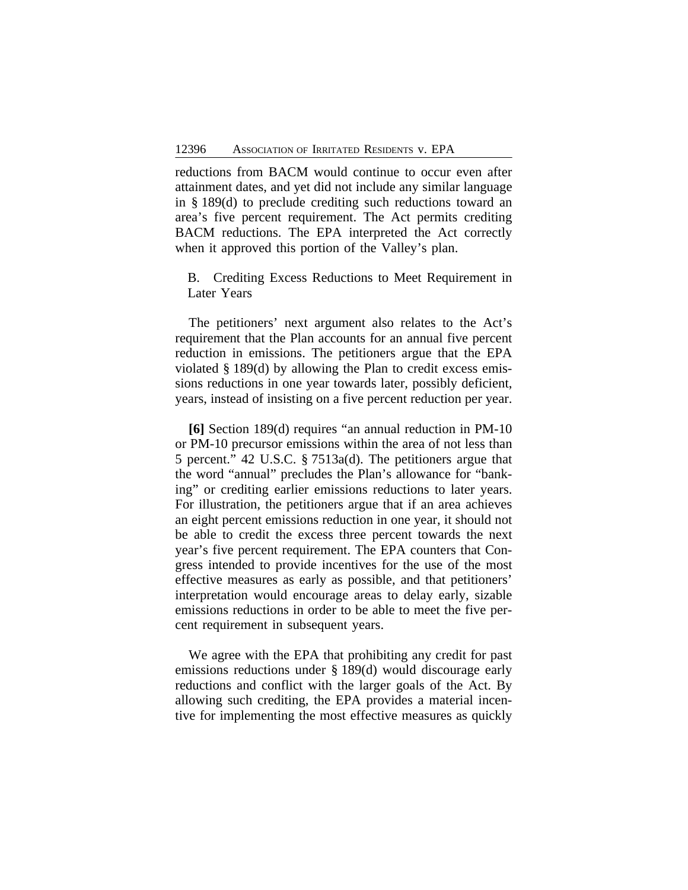reductions from BACM would continue to occur even after attainment dates, and yet did not include any similar language in § 189(d) to preclude crediting such reductions toward an area's five percent requirement. The Act permits crediting BACM reductions. The EPA interpreted the Act correctly when it approved this portion of the Valley's plan.

B. Crediting Excess Reductions to Meet Requirement in Later Years

The petitioners' next argument also relates to the Act's requirement that the Plan accounts for an annual five percent reduction in emissions. The petitioners argue that the EPA violated § 189(d) by allowing the Plan to credit excess emissions reductions in one year towards later, possibly deficient, years, instead of insisting on a five percent reduction per year.

**[6]** Section 189(d) requires "an annual reduction in PM-10 or PM-10 precursor emissions within the area of not less than 5 percent." 42 U.S.C. § 7513a(d). The petitioners argue that the word "annual" precludes the Plan's allowance for "banking" or crediting earlier emissions reductions to later years. For illustration, the petitioners argue that if an area achieves an eight percent emissions reduction in one year, it should not be able to credit the excess three percent towards the next year's five percent requirement. The EPA counters that Congress intended to provide incentives for the use of the most effective measures as early as possible, and that petitioners' interpretation would encourage areas to delay early, sizable emissions reductions in order to be able to meet the five percent requirement in subsequent years.

We agree with the EPA that prohibiting any credit for past emissions reductions under § 189(d) would discourage early reductions and conflict with the larger goals of the Act. By allowing such crediting, the EPA provides a material incentive for implementing the most effective measures as quickly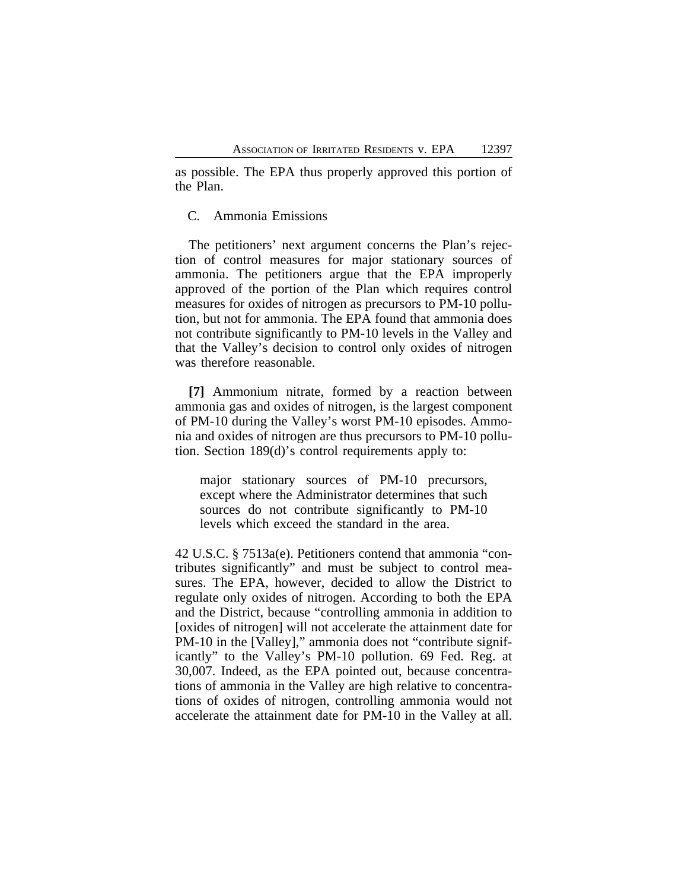as possible. The EPA thus properly approved this portion of the Plan.

## C. Ammonia Emissions

The petitioners' next argument concerns the Plan's rejection of control measures for major stationary sources of ammonia. The petitioners argue that the EPA improperly approved of the portion of the Plan which requires control measures for oxides of nitrogen as precursors to PM-10 pollution, but not for ammonia. The EPA found that ammonia does not contribute significantly to PM-10 levels in the Valley and that the Valley's decision to control only oxides of nitrogen was therefore reasonable.

**[7]** Ammonium nitrate, formed by a reaction between ammonia gas and oxides of nitrogen, is the largest component of PM-10 during the Valley's worst PM-10 episodes. Ammonia and oxides of nitrogen are thus precursors to PM-10 pollution. Section 189(d)'s control requirements apply to:

major stationary sources of PM-10 precursors, except where the Administrator determines that such sources do not contribute significantly to PM-10 levels which exceed the standard in the area.

42 U.S.C. § 7513a(e). Petitioners contend that ammonia "contributes significantly" and must be subject to control measures. The EPA, however, decided to allow the District to regulate only oxides of nitrogen. According to both the EPA and the District, because "controlling ammonia in addition to [oxides of nitrogen] will not accelerate the attainment date for PM-10 in the [Valley]," ammonia does not "contribute significantly" to the Valley's PM-10 pollution. 69 Fed. Reg. at 30,007. Indeed, as the EPA pointed out, because concentrations of ammonia in the Valley are high relative to concentrations of oxides of nitrogen, controlling ammonia would not accelerate the attainment date for PM-10 in the Valley at all.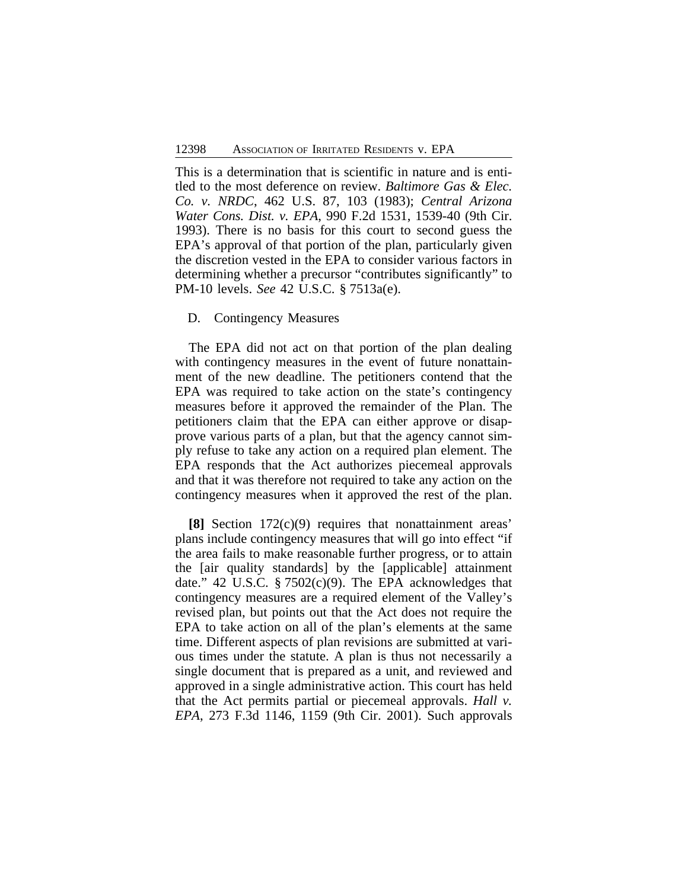This is a determination that is scientific in nature and is entitled to the most deference on review. *Baltimore Gas & Elec. Co. v. NRDC*, 462 U.S. 87, 103 (1983); *Central Arizona Water Cons. Dist. v. EPA*, 990 F.2d 1531, 1539-40 (9th Cir. 1993). There is no basis for this court to second guess the EPA's approval of that portion of the plan, particularly given the discretion vested in the EPA to consider various factors in determining whether a precursor "contributes significantly" to PM-10 levels. *See* 42 U.S.C. § 7513a(e).

#### D. Contingency Measures

The EPA did not act on that portion of the plan dealing with contingency measures in the event of future nonattainment of the new deadline. The petitioners contend that the EPA was required to take action on the state's contingency measures before it approved the remainder of the Plan. The petitioners claim that the EPA can either approve or disapprove various parts of a plan, but that the agency cannot simply refuse to take any action on a required plan element. The EPA responds that the Act authorizes piecemeal approvals and that it was therefore not required to take any action on the contingency measures when it approved the rest of the plan.

**[8]** Section 172(c)(9) requires that nonattainment areas' plans include contingency measures that will go into effect "if the area fails to make reasonable further progress, or to attain the [air quality standards] by the [applicable] attainment date." 42 U.S.C.  $\S 7502(c)(9)$ . The EPA acknowledges that contingency measures are a required element of the Valley's revised plan, but points out that the Act does not require the EPA to take action on all of the plan's elements at the same time. Different aspects of plan revisions are submitted at various times under the statute. A plan is thus not necessarily a single document that is prepared as a unit, and reviewed and approved in a single administrative action. This court has held that the Act permits partial or piecemeal approvals. *Hall v. EPA*, 273 F.3d 1146, 1159 (9th Cir. 2001). Such approvals